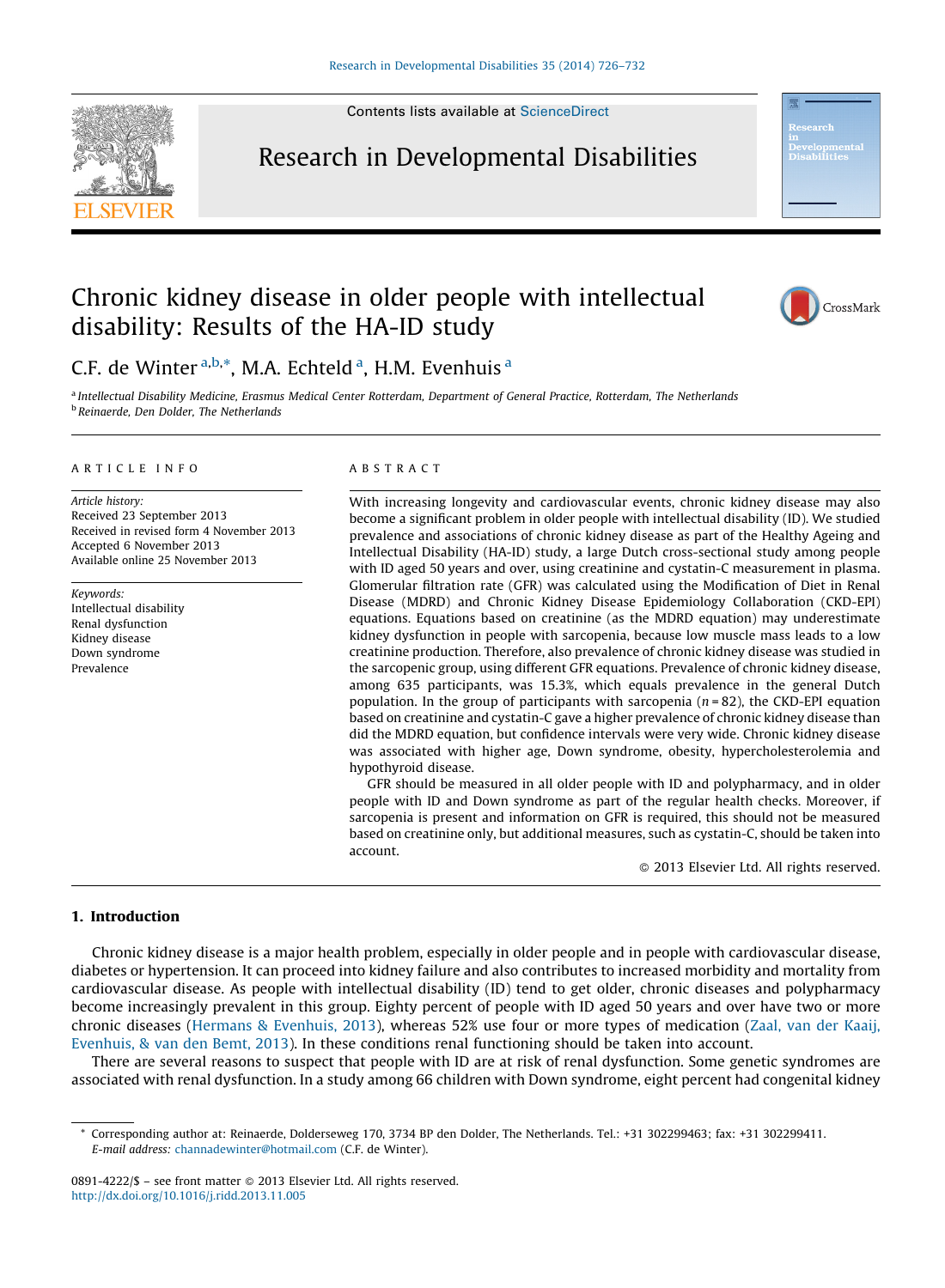Contents lists available at [ScienceDirect](http://www.sciencedirect.com/science/journal/08914222)



Research in Developmental Disabilities



## Chronic kidney disease in older people with intellectual disability: Results of the HA-ID study



C.F. de Winter<sup>a,b,\*</sup>, M.A. Echteld<sup>a</sup>, H.M. Evenhuis<sup>a</sup>

<sup>a</sup> Intellectual Disability Medicine, Erasmus Medical Center Rotterdam, Department of General Practice, Rotterdam, The Netherlands <sup>b</sup> Reinaerde, Den Dolder, The Netherlands

#### A R T I C L E I N F O

Article history: Received 23 September 2013 Received in revised form 4 November 2013 Accepted 6 November 2013 Available online 25 November 2013

Keywords: Intellectual disability Renal dysfunction Kidney disease Down syndrome Prevalence

### A B S T R A C T

With increasing longevity and cardiovascular events, chronic kidney disease may also become a significant problem in older people with intellectual disability (ID). We studied prevalence and associations of chronic kidney disease as part of the Healthy Ageing and Intellectual Disability (HA-ID) study, a large Dutch cross-sectional study among people with ID aged 50 years and over, using creatinine and cystatin-C measurement in plasma. Glomerular filtration rate (GFR) was calculated using the Modification of Diet in Renal Disease (MDRD) and Chronic Kidney Disease Epidemiology Collaboration (CKD-EPI) equations. Equations based on creatinine (as the MDRD equation) may underestimate kidney dysfunction in people with sarcopenia, because low muscle mass leads to a low creatinine production. Therefore, also prevalence of chronic kidney disease was studied in the sarcopenic group, using different GFR equations. Prevalence of chronic kidney disease, among 635 participants, was 15.3%, which equals prevalence in the general Dutch population. In the group of participants with sarcopenia  $(n = 82)$ , the CKD-EPI equation based on creatinine and cystatin-C gave a higher prevalence of chronic kidney disease than did the MDRD equation, but confidence intervals were very wide. Chronic kidney disease was associated with higher age, Down syndrome, obesity, hypercholesterolemia and hypothyroid disease.

GFR should be measured in all older people with ID and polypharmacy, and in older people with ID and Down syndrome as part of the regular health checks. Moreover, if sarcopenia is present and information on GFR is required, this should not be measured based on creatinine only, but additional measures, such as cystatin-C, should be taken into account.

- 2013 Elsevier Ltd. All rights reserved.

#### 1. Introduction

Chronic kidney disease is a major health problem, especially in older people and in people with cardiovascular disease, diabetes or hypertension. It can proceed into kidney failure and also contributes to increased morbidity and mortality from cardiovascular disease. As people with intellectual disability (ID) tend to get older, chronic diseases and polypharmacy become increasingly prevalent in this group. Eighty percent of people with ID aged 50 years and over have two or more chronic diseases (Hermans & [Evenhuis,](#page--1-0) 2013), whereas 52% use four or more types of medication (Zaal, van der [Kaaij,](#page--1-0) [Evenhuis,](#page--1-0) & van den Bemt, 2013). In these conditions renal functioning should be taken into account.

There are several reasons to suspect that people with ID are at risk of renal dysfunction. Some genetic syndromes are associated with renal dysfunction. In a study among 66 children with Down syndrome, eight percent had congenital kidney

<sup>\*</sup> Corresponding author at: Reinaerde, Dolderseweg 170, 3734 BP den Dolder, The Netherlands. Tel.: +31 302299463; fax: +31 302299411. E-mail address: [channadewinter@hotmail.com](mailto:channadewinter@hotmail.com) (C.F. de Winter).

<sup>0891-4222/\$ –</sup> see front matter © 2013 Elsevier Ltd. All rights reserved. <http://dx.doi.org/10.1016/j.ridd.2013.11.005>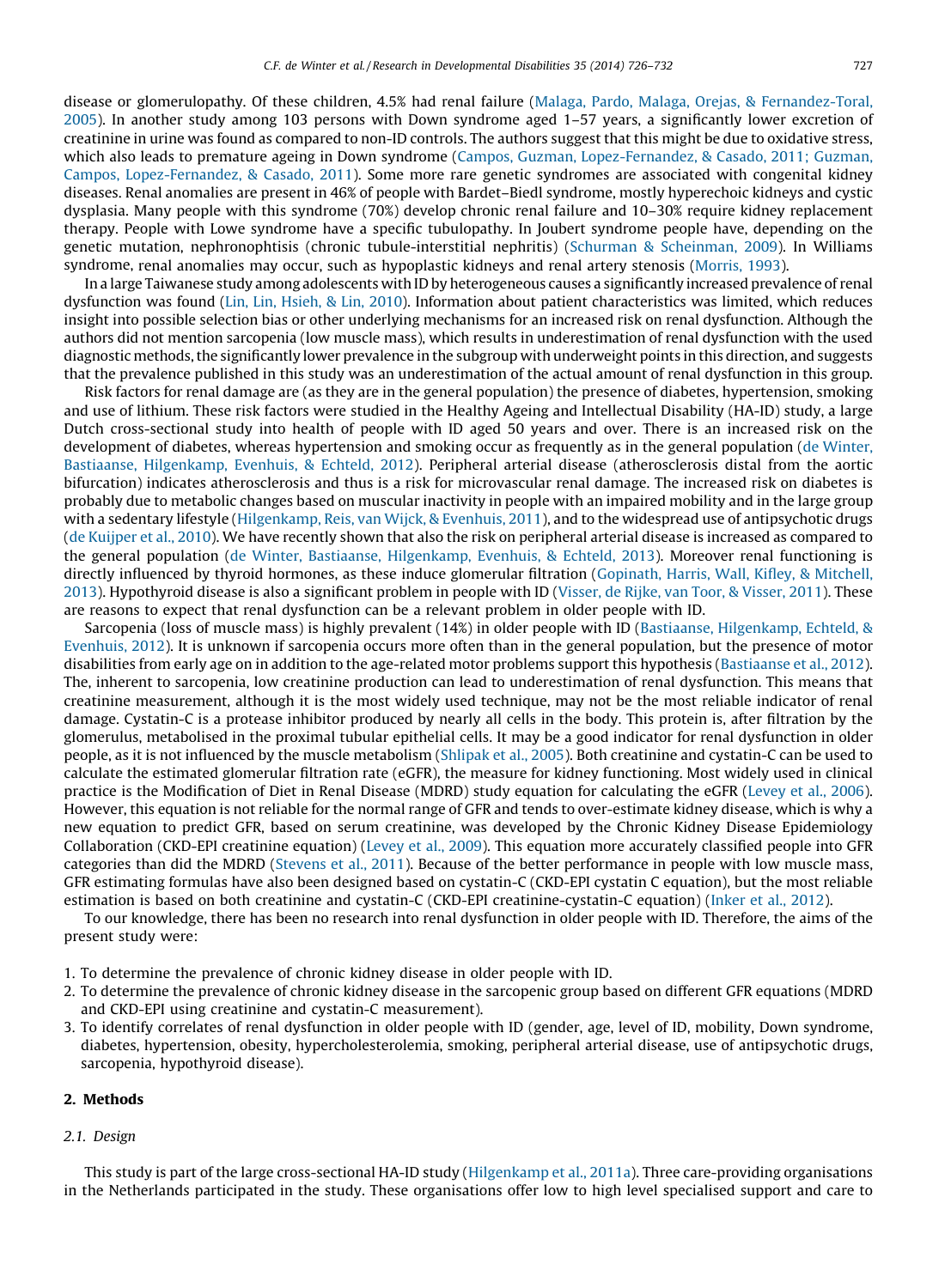disease or glomerulopathy. Of these children, 4.5% had renal failure (Malaga, Pardo, Malaga, Orejas, & [Fernandez-Toral,](#page--1-0) [2005](#page--1-0)). In another study among 103 persons with Down syndrome aged 1–57 years, a significantly lower excretion of creatinine in urine was found as compared to non-ID controls. The authors suggest that this might be due to oxidative stress, which also leads to premature ageing in Down syndrome (Campos, Guzman, [Lopez-Fernandez,](#page--1-0) & Casado, 2011; Guzman, Campos, [Lopez-Fernandez,](#page--1-0) & Casado, 2011). Some more rare genetic syndromes are associated with congenital kidney diseases. Renal anomalies are present in 46% of people with Bardet–Biedl syndrome, mostly hyperechoic kidneys and cystic dysplasia. Many people with this syndrome (70%) develop chronic renal failure and 10–30% require kidney replacement therapy. People with Lowe syndrome have a specific tubulopathy. In Joubert syndrome people have, depending on the genetic mutation, nephronophtisis (chronic tubule-interstitial nephritis) (Schurman & [Scheinman,](#page--1-0) 2009). In Williams syndrome, renal anomalies may occur, such as hypoplastic kidneys and renal artery stenosis ([Morris,](#page--1-0) 1993).

In a large Taiwanese study among adolescents with ID by heterogeneous causes a significantly increased prevalence of renal dysfunction was found (Lin, Lin, [Hsieh,](#page--1-0) & Lin, 2010). Information about patient characteristics was limited, which reduces insight into possible selection bias or other underlying mechanisms for an increased risk on renal dysfunction. Although the authors did not mention sarcopenia (low muscle mass), which results in underestimation of renal dysfunction with the used diagnostic methods,the significantly lower prevalence in the subgroup with underweight points in this direction, and suggests that the prevalence published in this study was an underestimation of the actual amount of renal dysfunction in this group.

Risk factors for renal damage are (as they are in the general population) the presence of diabetes, hypertension, smoking and use of lithium. These risk factors were studied in the Healthy Ageing and Intellectual Disability (HA-ID) study, a large Dutch cross-sectional study into health of people with ID aged 50 years and over. There is an increased risk on the development of diabetes, whereas hypertension and smoking occur as frequently as in the general population (de [Winter,](#page--1-0) Bastiaanse, [Hilgenkamp,](#page--1-0) Evenhuis, & Echteld, 2012). Peripheral arterial disease (atherosclerosis distal from the aortic bifurcation) indicates atherosclerosis and thus is a risk for microvascular renal damage. The increased risk on diabetes is probably due to metabolic changes based on muscular inactivity in people with an impaired mobility and in the large group with a sedentary lifestyle ([Hilgenkamp,](#page--1-0) Reis, van Wijck, & Evenhuis, 2011), and to the widespread use of antipsychotic drugs (de [Kuijper](#page--1-0) et al., 2010). We have recently shown that also the risk on peripheral arterial disease is increased as compared to the general population (de Winter, Bastiaanse, [Hilgenkamp,](#page--1-0) Evenhuis, & Echteld, 2013). Moreover renal functioning is directly influenced by thyroid hormones, as these induce glomerular filtration [\(Gopinath,](#page--1-0) Harris, Wall, Kifley, & Mitchell, [2013](#page--1-0)). Hypothyroid disease is also a significant problem in people with ID (Visser, de Rijke, van Toor, & [Visser,](#page--1-0) 2011). These are reasons to expect that renal dysfunction can be a relevant problem in older people with ID.

Sarcopenia (loss of muscle mass) is highly prevalent (14%) in older people with ID (Bastiaanse, [Hilgenkamp,](#page--1-0) Echteld, & [Evenhuis,](#page--1-0) 2012). It is unknown if sarcopenia occurs more often than in the general population, but the presence of motor disabilities from early age on in addition to the age-related motor problems support this hypothesis [\(Bastiaanse](#page--1-0) et al., 2012). The, inherent to sarcopenia, low creatinine production can lead to underestimation of renal dysfunction. This means that creatinine measurement, although it is the most widely used technique, may not be the most reliable indicator of renal damage. Cystatin-C is a protease inhibitor produced by nearly all cells in the body. This protein is, after filtration by the glomerulus, metabolised in the proximal tubular epithelial cells. It may be a good indicator for renal dysfunction in older people, as it is not influenced by the muscle metabolism [\(Shlipak](#page--1-0) et al., 2005). Both creatinine and cystatin-C can be used to calculate the estimated glomerular filtration rate (eGFR), the measure for kidney functioning. Most widely used in clinical practice is the Modification of Diet in Renal Disease (MDRD) study equation for calculating the eGFR [\(Levey](#page--1-0) et al., 2006). However, this equation is not reliable for the normal range of GFR and tends to over-estimate kidney disease, which is why a new equation to predict GFR, based on serum creatinine, was developed by the Chronic Kidney Disease Epidemiology Collaboration (CKD-EPI creatinine equation) [\(Levey](#page--1-0) et al., 2009). This equation more accurately classified people into GFR categories than did the MDRD ([Stevens](#page--1-0) et al., 2011). Because of the better performance in people with low muscle mass, GFR estimating formulas have also been designed based on cystatin-C (CKD-EPI cystatin C equation), but the most reliable estimation is based on both creatinine and cystatin-C (CKD-EPI creatinine-cystatin-C equation) ([Inker](#page--1-0) et al., 2012).

To our knowledge, there has been no research into renal dysfunction in older people with ID. Therefore, the aims of the present study were:

1. To determine the prevalence of chronic kidney disease in older people with ID.

- 2. To determine the prevalence of chronic kidney disease in the sarcopenic group based on different GFR equations (MDRD and CKD-EPI using creatinine and cystatin-C measurement).
- 3. To identify correlates of renal dysfunction in older people with ID (gender, age, level of ID, mobility, Down syndrome, diabetes, hypertension, obesity, hypercholesterolemia, smoking, peripheral arterial disease, use of antipsychotic drugs, sarcopenia, hypothyroid disease).

#### 2. Methods

#### 2.1. Design

This study is part of the large cross-sectional HA-ID study ([Hilgenkamp](#page--1-0) et al., 2011a). Three care-providing organisations in the Netherlands participated in the study. These organisations offer low to high level specialised support and care to